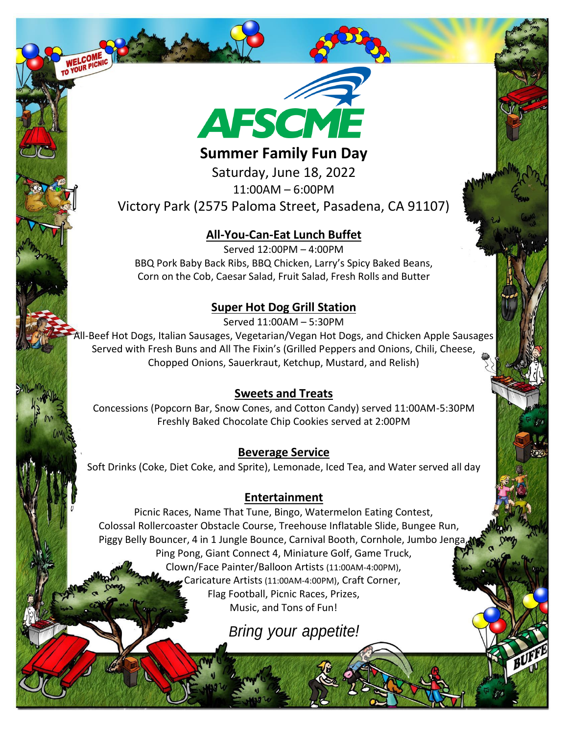

## **Summer Family Fun Day**

Saturday, June 18, 2022 11:00AM – 6:00PM Victory Park (2575 Paloma Street, Pasadena, CA 91107)

#### **All-You-Can-Eat Lunch Buffet**

Served 12:00PM – 4:00PM BBQ Pork Baby Back Ribs, BBQ Chicken, Larry's Spicy Baked Beans, Corn on the Cob, Caesar Salad, Fruit Salad, Fresh Rolls and Butter

### **Super Hot Dog Grill Station**

Served 11:00AM – 5:30PM

All-Beef Hot Dogs, Italian Sausages, Vegetarian/Vegan Hot Dogs, and Chicken Apple Sausages Served with Fresh Buns and All The Fixin's (Grilled Peppers and Onions, Chili, Cheese, Chopped Onions, Sauerkraut, Ketchup, Mustard, and Relish)

#### **Sweets and Treats**

Concessions (Popcorn Bar, Snow Cones, and Cotton Candy) served 11:00AM-5:30PM Freshly Baked Chocolate Chip Cookies served at 2:00PM

#### **Beverage Service**

Soft Drinks (Coke, Diet Coke, and Sprite), Lemonade, Iced Tea, and Water served all day

#### **Entertainment**

Picnic Races, Name That Tune, Bingo, Watermelon Eating Contest, Colossal Rollercoaster Obstacle Course, Treehouse Inflatable Slide, Bungee Run, Piggy Belly Bouncer, 4 in 1 Jungle Bounce, Carnival Booth, Cornhole, Jumbo Jenga, Ping Pong, Giant Connect 4, Miniature Golf, Game Truck, Clown/Face Painter/Balloon Artists (11:00AM-4:00PM), Caricature Artists (11:00AM-4:00PM), Craft Corner, Flag Football, Picnic Races, Prizes, Music, and Tons of Fun!

*Bring your appetite!*